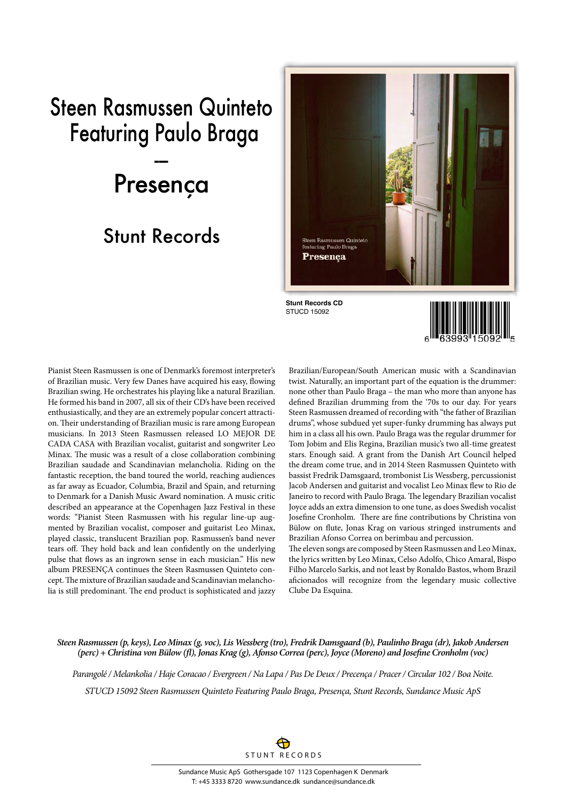## Steen Rasmussen Quinteto Featuring Paulo Braga --- Presença

## Stunt Records



Pianist Steen Rasmussen is one of Denmark's foremost interpreter's of Brazilian music. Very few Danes have acquired his easy, flowing Brazilian swing. He orchestrates his playing like a natural Brazilian. He formed his band in 2007, all six of their CD's have been received enthusiastically, and they are an extremely popular concert attraction. Their understanding of Brazilian music is rare among European musicians. In 2013 Steen Rasmussen released LO MEJOR DE CADA CASA with Brazilian vocalist, guitarist and songwriter Leo Minax. The music was a result of a close collaboration combining Brazilian saudade and Scandinavian melancholia. Riding on the fantastic reception, the band toured the world, reaching audiences as far away as Ecuador, Columbia, Brazil and Spain, and returning to Denmark for a Danish Music Award nomination. A music critic described an appearance at the Copenhagen Jazz Festival in these words: "Pianist Steen Rasmussen with his regular line-up augmented by Brazilian vocalist, composer and guitarist Leo Minax, played classic, translucent Brazilian pop. Rasmussen's band never tears off. They hold back and lean confidently on the underlying pulse that flows as an ingrown sense in each musician." His new album PRESENÇA continues the Steen Rasmussen Quinteto concept. The mixture of Brazilian saudade and Scandinavian melancholia is still predominant. The end product is sophisticated and jazzy Brazilian/European/South American music with a Scandinavian twist. Naturally, an important part of the equation is the drummer: none other than Paulo Braga – the man who more than anyone has defined Brazilian drumming from the '70s to our day. For years Steen Rasmussen dreamed of recording with "the father of Brazilian drums", whose subdued yet super-funky drumming has always put him in a class all his own. Paulo Braga was the regular drummer for Tom Jobim and Elis Regina, Brazilian music's two all-time greatest stars. Enough said. A grant from the Danish Art Council helped the dream come true, and in 2014 Steen Rasmussen Quinteto with bassist Fredrik Damsgaard, trombonist Lis Wessberg, percussionist Jacob Andersen and guitarist and vocalist Leo Minax flew to Rio de Janeiro to record with Paulo Braga. The legendary Brazilian vocalist Joyce adds an extra dimension to one tune, as does Swedish vocalist Josefine Cronholm. There are fine contributions by Christina von Bülow on flute, Jonas Krag on various stringed instruments and Brazilian Afonso Correa on berimbau and percussion. The eleven songs are composed by Steen Rasmussen and Leo Minax,

the lyrics written by Leo Minax, Celso Adolfo, Chico Amaral, Bispo Filho Marcelo Sarkis, and not least by Ronaldo Bastos, whom Brazil aficionados will recognize from the legendary music collective Clube Da Esquina.

*Steen Rasmussen (p, keys), Leo Minax (g, voc), Lis Wessberg (tro), Fredrik Damsgaard (b), Paulinho Braga (dr), Jakob Andersen (perc) + Christina von Bülow (fl), Jonas Krag (g), Afonso Correa (perc), Joyce (Moreno) and Josefine Cronholm (voc)*

*Parangolé / Melankolia / Haje Coracao / Evergreen / Na Lapa / Pas De Deux / Precença / Pracer / Circular 102 / Boa Noite. STUCD 15092 Steen Rasmussen Quinteto Featuring Paulo Braga, Presença, Stunt Records, Sundance Music ApS*